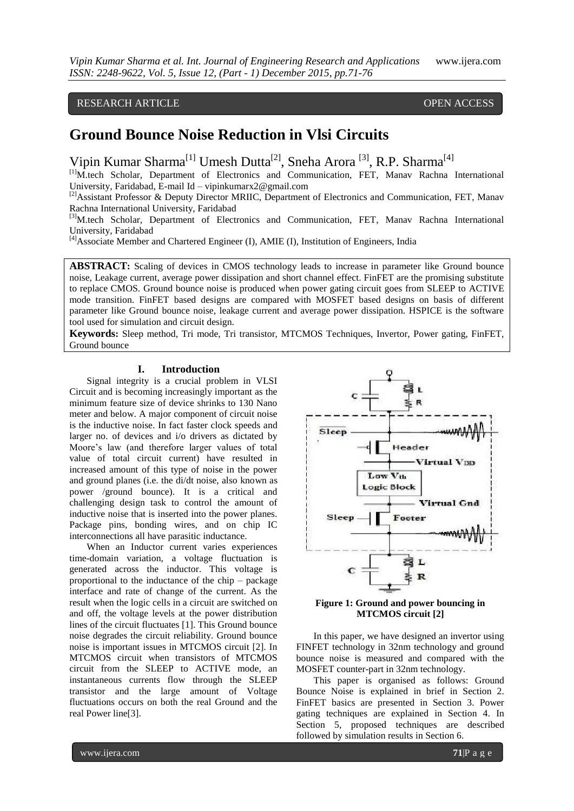RESEARCH ARTICLE **CONSERVERS** OPEN ACCESS

# **Ground Bounce Noise Reduction in Vlsi Circuits**

Vipin Kumar Sharma<sup>[1]</sup> Umesh Dutta<sup>[2]</sup>, Sneha Arora<sup>[3]</sup>, R.P. Sharma<sup>[4]</sup>

[1]M.tech Scholar, Department of Electronics and Communication, FET, Manav Rachna International University, Faridabad, E-mail Id – vipinkumarx2@gmail.com

<sup>[2]</sup>Assistant Professor & Deputy Director MRIIC, Department of Electronics and Communication, FET, Manav Rachna International University, Faridabad

[3]M.tech Scholar, Department of Electronics and Communication, FET, Manav Rachna International University, Faridabad

[4]Associate Member and Chartered Engineer (I), AMIE (I), Institution of Engineers, India

**ABSTRACT:** Scaling of devices in CMOS technology leads to increase in parameter like Ground bounce noise, Leakage current, average power dissipation and short channel effect. FinFET are the promising substitute to replace CMOS. Ground bounce noise is produced when power gating circuit goes from SLEEP to ACTIVE mode transition. FinFET based designs are compared with MOSFET based designs on basis of different parameter like Ground bounce noise, leakage current and average power dissipation. HSPICE is the software tool used for simulation and circuit design.

**Keywords:** Sleep method, Tri mode, Tri transistor, MTCMOS Techniques, Invertor, Power gating, FinFET, Ground bounce

#### **I. Introduction**

Signal integrity is a crucial problem in VLSI Circuit and is becoming increasingly important as the minimum feature size of device shrinks to 130 Nano meter and below. A major component of circuit noise is the inductive noise. In fact faster clock speeds and larger no. of devices and i/o drivers as dictated by Moore's law (and therefore larger values of total value of total circuit current) have resulted in increased amount of this type of noise in the power and ground planes (i.e. the di/dt noise, also known as power /ground bounce). It is a critical and challenging design task to control the amount of inductive noise that is inserted into the power planes. Package pins, bonding wires, and on chip IC interconnections all have parasitic inductance.

When an Inductor current varies experiences time-domain variation, a voltage fluctuation is generated across the inductor. This voltage is proportional to the inductance of the chip – package interface and rate of change of the current. As the result when the logic cells in a circuit are switched on and off, the voltage levels at the power distribution lines of the circuit fluctuates [1]. This Ground bounce noise degrades the circuit reliability. Ground bounce noise is important issues in MTCMOS circuit [2]. In MTCMOS circuit when transistors of MTCMOS circuit from the SLEEP to ACTIVE mode, an instantaneous currents flow through the SLEEP transistor and the large amount of Voltage fluctuations occurs on both the real Ground and the real Power line[3].





In this paper, we have designed an invertor using FINFET technology in 32nm technology and ground bounce noise is measured and compared with the MOSFET counter-part in 32nm technology.

This paper is organised as follows: Ground Bounce Noise is explained in brief in Section 2. FinFET basics are presented in Section 3. Power gating techniques are explained in Section 4. In Section 5, proposed techniques are described followed by simulation results in Section 6.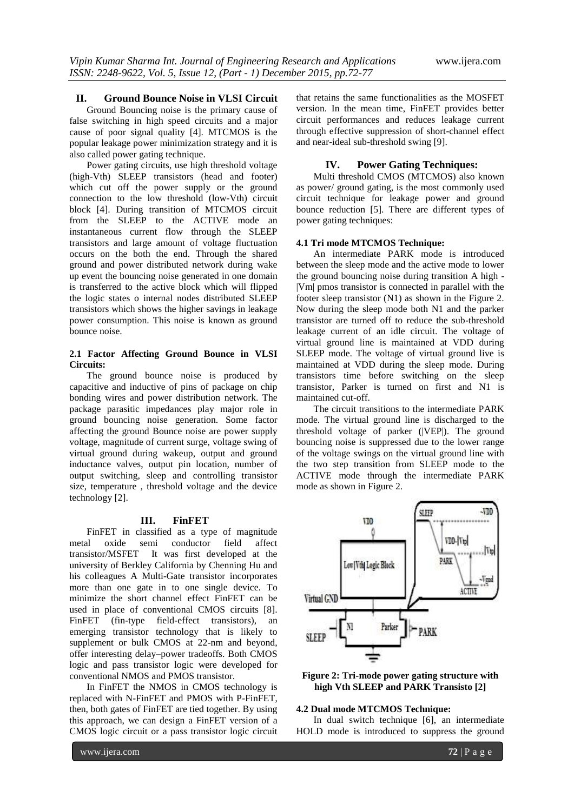# **II. Ground Bounce Noise in VLSI Circuit**

Ground Bouncing noise is the primary cause of false switching in high speed circuits and a major cause of poor signal quality [4]. MTCMOS is the popular leakage power minimization strategy and it is also called power gating technique.

Power gating circuits, use high threshold voltage (high-Vth) SLEEP transistors (head and footer) which cut off the power supply or the ground connection to the low threshold (low-Vth) circuit block [4]. During transition of MTCMOS circuit from the SLEEP to the ACTIVE mode an instantaneous current flow through the SLEEP transistors and large amount of voltage fluctuation occurs on the both the end. Through the shared ground and power distributed network during wake up event the bouncing noise generated in one domain is transferred to the active block which will flipped the logic states o internal nodes distributed SLEEP transistors which shows the higher savings in leakage power consumption. This noise is known as ground bounce noise.

# **2.1 Factor Affecting Ground Bounce in VLSI Circuits:**

The ground bounce noise is produced by capacitive and inductive of pins of package on chip bonding wires and power distribution network. The package parasitic impedances play major role in ground bouncing noise generation. Some factor affecting the ground Bounce noise are power supply voltage, magnitude of current surge, voltage swing of virtual ground during wakeup, output and ground inductance valves, output pin location, number of output switching, sleep and controlling transistor size, temperature , threshold voltage and the device technology [2].

#### **III. FinFET**

FinFET in classified as a type of magnitude metal oxide semi conductor field affect transistor/MSFET It was first developed at the university of Berkley California by Chenning Hu and his colleagues A Multi-Gate transistor incorporates more than one gate in to one single device. To minimize the short channel effect FinFET can be used in place of conventional CMOS circuits [8]. FinFET (fin-type field-effect transistors), an emerging transistor technology that is likely to supplement or bulk CMOS at 22-nm and beyond, offer interesting delay–power tradeoffs. Both CMOS logic and pass transistor logic were developed for conventional NMOS and PMOS transistor.

In FinFET the NMOS in CMOS technology is replaced with N-FinFET and PMOS with P-FinFET, then, both gates of FinFET are tied together. By using this approach, we can design a FinFET version of a CMOS logic circuit or a pass transistor logic circuit

that retains the same functionalities as the MOSFET version. In the mean time, FinFET provides better circuit performances and reduces leakage current through effective suppression of short-channel effect and near-ideal sub-threshold swing [9].

# **IV. Power Gating Techniques:**

Multi threshold CMOS (MTCMOS) also known as power/ ground gating, is the most commonly used circuit technique for leakage power and ground bounce reduction [5]. There are different types of power gating techniques:

## **4.1 Tri mode MTCMOS Technique:**

An intermediate PARK mode is introduced between the sleep mode and the active mode to lower the ground bouncing noise during transition A high - |Vm| pmos transistor is connected in parallel with the footer sleep transistor (N1) as shown in the Figure 2. Now during the sleep mode both N1 and the parker transistor are turned off to reduce the sub-threshold leakage current of an idle circuit. The voltage of virtual ground line is maintained at VDD during SLEEP mode. The voltage of virtual ground live is maintained at VDD during the sleep mode. During transistors time before switching on the sleep transistor, Parker is turned on first and N1 is maintained cut-off.

The circuit transitions to the intermediate PARK mode. The virtual ground line is discharged to the threshold voltage of parker (|VEP|). The ground bouncing noise is suppressed due to the lower range of the voltage swings on the virtual ground line with the two step transition from SLEEP mode to the ACTIVE mode through the intermediate PARK mode as shown in Figure 2.



**Figure 2: Tri-mode power gating structure with high Vth SLEEP and PARK Transisto [2]**

#### **4.2 Dual mode MTCMOS Technique:**

In dual switch technique [6], an intermediate HOLD mode is introduced to suppress the ground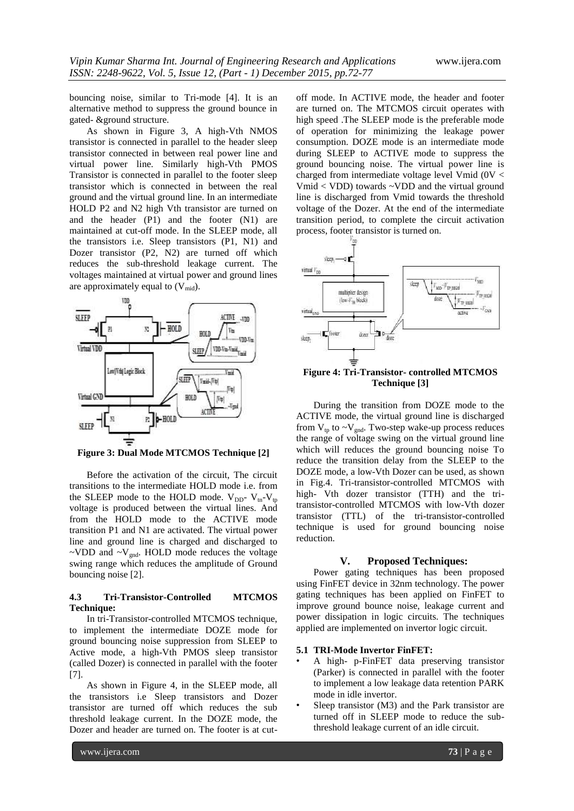bouncing noise, similar to Tri-mode [4]. It is an alternative method to suppress the ground bounce in gated- &ground structure.

As shown in Figure 3, A high-Vth NMOS transistor is connected in parallel to the header sleep transistor connected in between real power line and virtual power line. Similarly high-Vth PMOS Transistor is connected in parallel to the footer sleep transistor which is connected in between the real ground and the virtual ground line. In an intermediate HOLD P2 and N2 high Vth transistor are turned on and the header  $(P1)$  and the footer  $(N1)$  are maintained at cut-off mode. In the SLEEP mode, all the transistors i.e. Sleep transistors (P1, N1) and Dozer transistor (P2, N2) are turned off which reduces the sub-threshold leakage current. The voltages maintained at virtual power and ground lines are approximately equal to  $(V_{mid})$ .



**Figure 3: Dual Mode MTCMOS Technique [2]**

Before the activation of the circuit, The circuit transitions to the intermediate HOLD mode i.e. from the SLEEP mode to the HOLD mode.  $V_{DD}$ -  $V_{tr}$ - $V_{tp}$ voltage is produced between the virtual lines. And from the HOLD mode to the ACTIVE mode transition P1 and N1 are activated. The virtual power line and ground line is charged and discharged to ~VDD and  $\sim$ V<sub>gnd</sub>. HOLD mode reduces the voltage swing range which reduces the amplitude of Ground bouncing noise [2].

## **4.3 Tri-Transistor-Controlled MTCMOS Technique:**

In tri-Transistor-controlled MTCMOS technique, to implement the intermediate DOZE mode for ground bouncing noise suppression from SLEEP to Active mode, a high-Vth PMOS sleep transistor (called Dozer) is connected in parallel with the footer [7].

As shown in Figure 4, in the SLEEP mode, all the transistors i.e Sleep transistors and Dozer transistor are turned off which reduces the sub threshold leakage current. In the DOZE mode, the Dozer and header are turned on. The footer is at cutoff mode. In ACTIVE mode, the header and footer are turned on. The MTCMOS circuit operates with high speed .The SLEEP mode is the preferable mode of operation for minimizing the leakage power consumption. DOZE mode is an intermediate mode during SLEEP to ACTIVE mode to suppress the ground bouncing noise. The virtual power line is charged from intermediate voltage level Vmid (0V < Vmid < VDD) towards ~VDD and the virtual ground line is discharged from Vmid towards the threshold voltage of the Dozer. At the end of the intermediate transition period, to complete the circuit activation process, footer transistor is turned on.



**Figure 4: Tri-Transistor- controlled MTCMOS Technique [3]**

During the transition from DOZE mode to the ACTIVE mode, the virtual ground line is discharged from  $V_{tp}$  to  $\sim V_{gnd}$ . Two-step wake-up process reduces the range of voltage swing on the virtual ground line which will reduces the ground bouncing noise To reduce the transition delay from the SLEEP to the DOZE mode, a low-Vth Dozer can be used, as shown in Fig.4. Tri-transistor-controlled MTCMOS with high- Vth dozer transistor (TTH) and the tritransistor-controlled MTCMOS with low-Vth dozer transistor (TTL) of the tri-transistor-controlled technique is used for ground bouncing noise reduction.

### **V. Proposed Techniques:**

Power gating techniques has been proposed using FinFET device in 32nm technology. The power gating techniques has been applied on FinFET to improve ground bounce noise, leakage current and power dissipation in logic circuits. The techniques applied are implemented on invertor logic circuit.

## **5.1 TRI-Mode Invertor FinFET:**

- A high- p-FinFET data preserving transistor (Parker) is connected in parallel with the footer to implement a low leakage data retention PARK mode in idle invertor.
- Sleep transistor (M3) and the Park transistor are turned off in SLEEP mode to reduce the subthreshold leakage current of an idle circuit.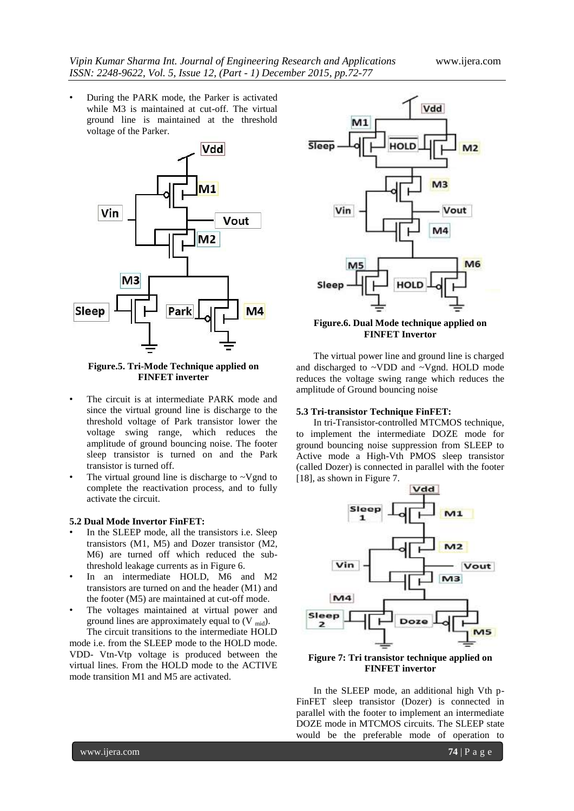• During the PARK mode, the Parker is activated while M3 is maintained at cut-off. The virtual ground line is maintained at the threshold voltage of the Parker.



#### **Figure.5. Tri-Mode Technique applied on FINFET inverter**

- The circuit is at intermediate PARK mode and since the virtual ground line is discharge to the threshold voltage of Park transistor lower the voltage swing range, which reduces the amplitude of ground bouncing noise. The footer sleep transistor is turned on and the Park transistor is turned off.
- The virtual ground line is discharge to  $\sim$ Vgnd to complete the reactivation process, and to fully activate the circuit.

## **5.2 Dual Mode Invertor FinFET:**

- In the SLEEP mode, all the transistors i.e. Sleep transistors (M1, M5) and Dozer transistor (M2, M6) are turned off which reduced the subthreshold leakage currents as in Figure 6.
- In an intermediate HOLD, M6 and M2 transistors are turned on and the header (M1) and the footer (M5) are maintained at cut-off mode.
- The voltages maintained at virtual power and ground lines are approximately equal to  $(V_{mid})$ .

The circuit transitions to the intermediate HOLD mode i.e. from the SLEEP mode to the HOLD mode. VDD- Vtn-Vtp voltage is produced between the virtual lines. From the HOLD mode to the ACTIVE mode transition M1 and M5 are activated.



# **Figure.6. Dual Mode technique applied on FINFET Invertor**

The virtual power line and ground line is charged and discharged to ~VDD and ~Vgnd. HOLD mode reduces the voltage swing range which reduces the amplitude of Ground bouncing noise

## **5.3 Tri-transistor Technique FinFET:**

In tri-Transistor-controlled MTCMOS technique, to implement the intermediate DOZE mode for ground bouncing noise suppression from SLEEP to Active mode a High-Vth PMOS sleep transistor (called Dozer) is connected in parallel with the footer [18], as shown in Figure 7.



**FINFET invertor**

In the SLEEP mode, an additional high Vth p-FinFET sleep transistor (Dozer) is connected in parallel with the footer to implement an intermediate DOZE mode in MTCMOS circuits. The SLEEP state would be the preferable mode of operation to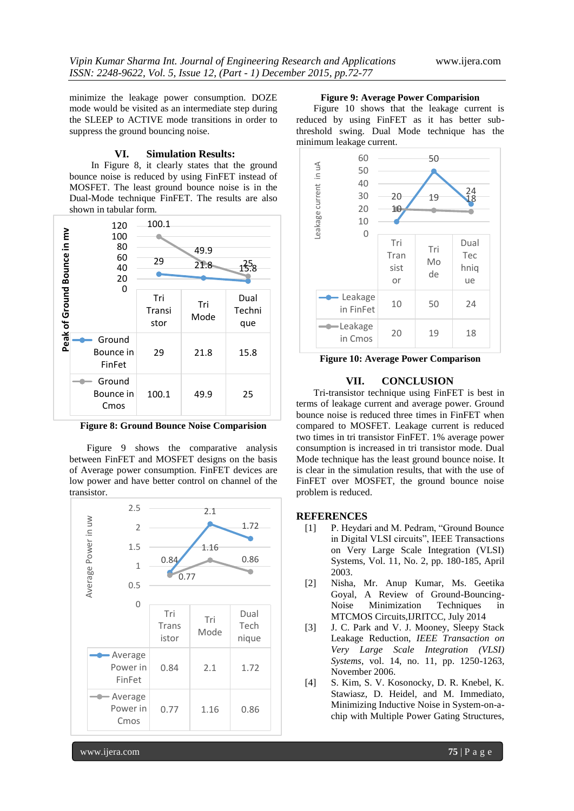minimize the leakage power consumption. DOZE mode would be visited as an intermediate step during the SLEEP to ACTIVE mode transitions in order to suppress the ground bouncing noise.

#### **VI. Simulation Results:**

In Figure 8, it clearly states that the ground bounce noise is reduced by using FinFET instead of MOSFET. The least ground bounce noise is in the Dual-Mode technique FinFET. The results are also shown in tabular form.



**Figure 8: Ground Bounce Noise Comparision**

Figure 9 shows the comparative analysis between FinFET and MOSFET designs on the basis of Average power consumption. FinFET devices are low power and have better control on channel of the transistor.



#### **Figure 9: Average Power Comparision**

Figure 10 shows that the leakage current is reduced by using FinFET as it has better subthreshold swing. Dual Mode technique has the minimum leakage current.



**Figure 10: Average Power Comparison**

## **VII. CONCLUSION**

Tri-transistor technique using FinFET is best in terms of leakage current and average power. Ground bounce noise is reduced three times in FinFET when compared to MOSFET. Leakage current is reduced two times in tri transistor FinFET. 1% average power consumption is increased in tri transistor mode. Dual Mode technique has the least ground bounce noise. It is clear in the simulation results, that with the use of FinFET over MOSFET, the ground bounce noise problem is reduced.

### **REFERENCES**

- [1] P. Heydari and M. Pedram, "Ground Bounce" in Digital VLSI circuits", IEEE Transactions on Very Large Scale Integration (VLSI) Systems, Vol. 11, No. 2, pp. 180-185, April 2003.
- [2] Nisha, Mr. Anup Kumar, Ms. Geetika Goyal, A Review of Ground-Bouncing-Noise Minimization Techniques in MTCMOS Circuits,IJRITCC, July 2014
- [3] J. C. Park and V. J. Mooney, Sleepy Stack Leakage Reduction, *IEEE Transaction on Very Large Scale Integration (VLSI) Systems*, vol. 14, no. 11, pp. 1250-1263, November 2006.
- [4] S. Kim, S. V. Kosonocky, D. R. Knebel, K. Stawiasz, D. Heidel, and M. Immediato, Minimizing Inductive Noise in System-on-achip with Multiple Power Gating Structures,

www.ijera.com **75** | P a g e